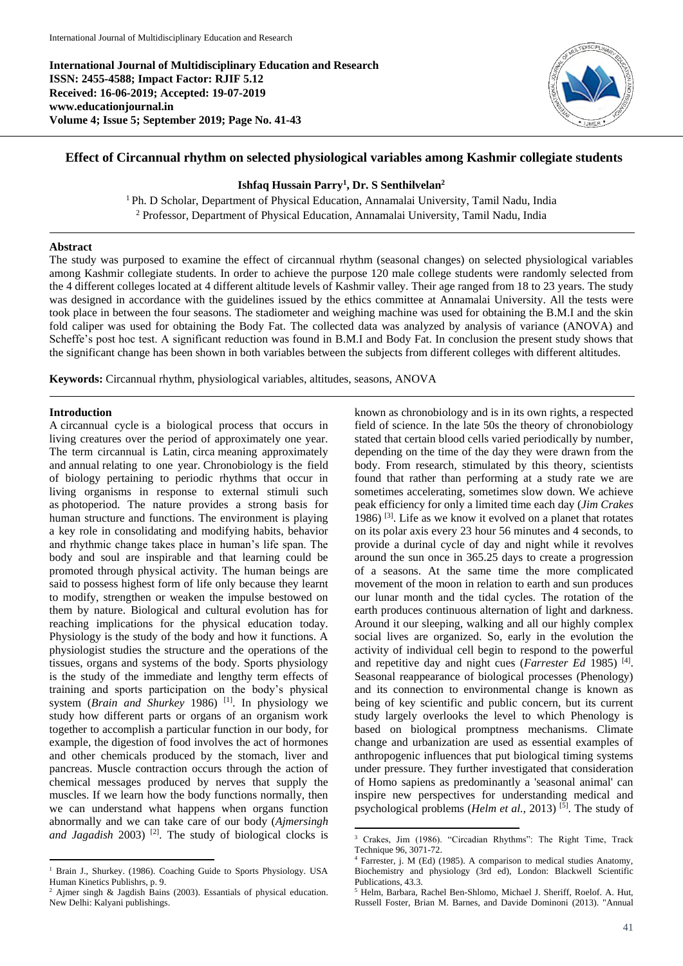**International Journal of Multidisciplinary Education and Research ISSN: 2455-4588; Impact Factor: RJIF 5.12 Received: 16-06-2019; Accepted: 19-07-2019 www.educationjournal.in Volume 4; Issue 5; September 2019; Page No. 41-43**



# **Effect of Circannual rhythm on selected physiological variables among Kashmir collegiate students**

## **Ishfaq Hussain Parry<sup>1</sup> , Dr. S Senthilvelan<sup>2</sup>**

<sup>1</sup>Ph. D Scholar, Department of Physical Education, Annamalai University, Tamil Nadu, India <sup>2</sup> Professor, Department of Physical Education, Annamalai University, Tamil Nadu, India

#### **Abstract**

The study was purposed to examine the effect of circannual rhythm (seasonal changes) on selected physiological variables among Kashmir collegiate students. In order to achieve the purpose 120 male college students were randomly selected from the 4 different colleges located at 4 different altitude levels of Kashmir valley. Their age ranged from 18 to 23 years. The study was designed in accordance with the guidelines issued by the ethics committee at Annamalai University. All the tests were took place in between the four seasons. The stadiometer and weighing machine was used for obtaining the B.M.I and the skin fold caliper was used for obtaining the Body Fat. The collected data was analyzed by analysis of variance (ANOVA) and Scheffe's post hoc test. A significant reduction was found in B.M.I and Body Fat. In conclusion the present study shows that the significant change has been shown in both variables between the subjects from different colleges with different altitudes.

1

**Keywords:** Circannual rhythm, physiological variables, altitudes, seasons, ANOVA

#### **Introduction**

A circannual cycle is a biological process that occurs in living creatures over the period of approximately one year. The term circannual is Latin, circa meaning approximately and annual relating to one year. Chronobiology is the field of biology pertaining to periodic rhythms that occur in living organisms in response to external stimuli such as photoperiod. The nature provides a strong basis for human structure and functions. The environment is playing a key role in consolidating and modifying habits, behavior and rhythmic change takes place in human's life span. The body and soul are inspirable and that learning could be promoted through physical activity. The human beings are said to possess highest form of life only because they learnt to modify, strengthen or weaken the impulse bestowed on them by nature. Biological and cultural evolution has for reaching implications for the physical education today. Physiology is the study of the body and how it functions. A physiologist studies the structure and the operations of the tissues, organs and systems of the body. Sports physiology is the study of the immediate and lengthy term effects of training and sports participation on the body's physical system (*Brain and Shurkey* 1986)<sup>[1]</sup>. In physiology we study how different parts or organs of an organism work together to accomplish a particular function in our body, for example, the digestion of food involves the act of hormones and other chemicals produced by the stomach, liver and pancreas. Muscle contraction occurs through the action of chemical messages produced by nerves that supply the muscles. If we learn how the body functions normally, then we can understand what happens when organs function abnormally and we can take care of our body (*Ajmersingh*  and Jagadish 2003)<sup>[2]</sup>. The study of biological clocks is known as chronobiology and is in its own rights, a respected field of science. In the late 50s the theory of chronobiology stated that certain blood cells varied periodically by number, depending on the time of the day they were drawn from the body. From research, stimulated by this theory, scientists found that rather than performing at a study rate we are sometimes accelerating, sometimes slow down. We achieve peak efficiency for only a limited time each day (*Jim Crakes* 1986) [3] . Life as we know it evolved on a planet that rotates on its polar axis every 23 hour 56 minutes and 4 seconds, to provide a durinal cycle of day and night while it revolves around the sun once in 365.25 days to create a progression of a seasons. At the same time the more complicated movement of the moon in relation to earth and sun produces our lunar month and the tidal cycles. The rotation of the earth produces continuous alternation of light and darkness. Around it our sleeping, walking and all our highly complex social lives are organized. So, early in the evolution the activity of individual cell begin to respond to the powerful and repetitive day and night cues (*Farrester Ed* 1985)<sup>[4]</sup>. Seasonal reappearance of biological processes (Phenology) and its connection to environmental change is known as being of key scientific and public concern, but its current study largely overlooks the level to which Phenology is based on biological promptness mechanisms. Climate change and urbanization are used as essential examples of anthropogenic influences that put biological timing systems under pressure. They further investigated that consideration of Homo sapiens as predominantly a 'seasonal animal' can inspire new perspectives for understanding medical and psychological problems (*Helm et al.*, 2013)<sup>[5]</sup>. The study of

 $\overline{a}$ <sup>1</sup> Brain J., Shurkey. (1986). Coaching Guide to Sports Physiology. USA Human Kinetics Publishrs, p. 9.

<sup>&</sup>lt;sup>2</sup> Ajmer singh & Jagdish Bains (2003). Essantials of physical education. New Delhi: Kalyani publishings.

<sup>3</sup> Crakes, Jim (1986). "Circadian Rhythms": The Right Time, Track Technique 96, 3071-72.

<sup>4</sup> Farrester, j. M (Ed) (1985). A comparison to medical studies Anatomy, Biochemistry and physiology (3rd ed), London: Blackwell Scientific Publications, 43.3.

<sup>5</sup> Helm, Barbara, Rachel Ben-Shlomo, Michael J. Sheriff, Roelof. A. Hut, Russell Foster, Brian M. Barnes, and Davide Dominoni (2013). "Annual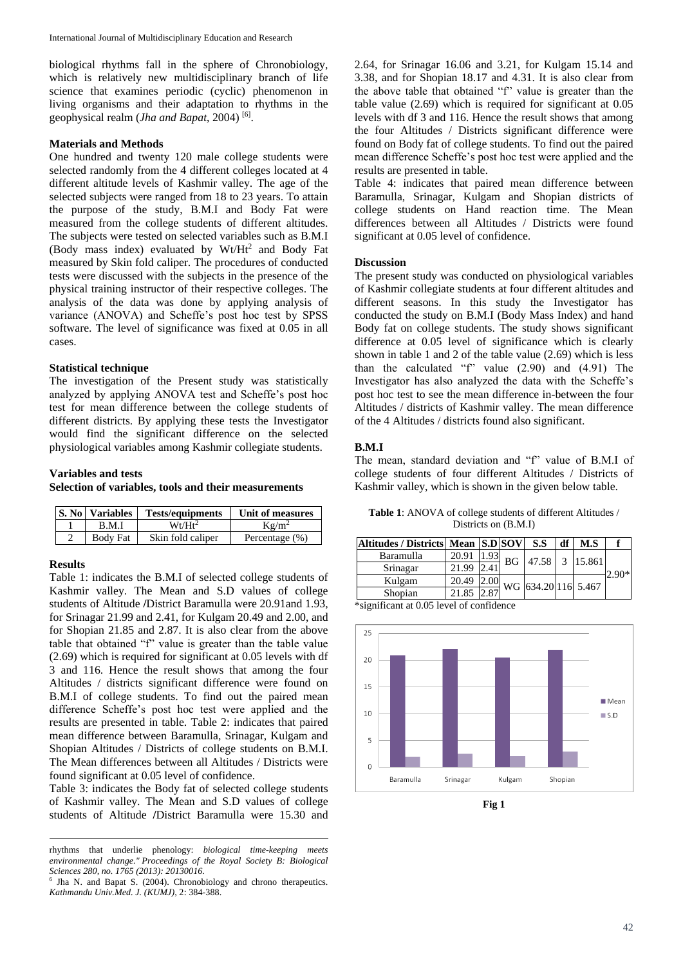biological rhythms fall in the sphere of Chronobiology, which is relatively new multidisciplinary branch of life science that examines periodic (cyclic) phenomenon in living organisms and their adaptation to rhythms in the geophysical realm (*Jha and Bapat*, 2004)<sup>[6]</sup>.

## **Materials and Methods**

One hundred and twenty 120 male college students were selected randomly from the 4 different colleges located at 4 different altitude levels of Kashmir valley. The age of the selected subjects were ranged from 18 to 23 years. To attain the purpose of the study, B.M.I and Body Fat were measured from the college students of different altitudes. The subjects were tested on selected variables such as B.M.I (Body mass index) evaluated by  $Wt/Ht^2$  and Body Fat measured by Skin fold caliper. The procedures of conducted tests were discussed with the subjects in the presence of the physical training instructor of their respective colleges. The analysis of the data was done by applying analysis of variance (ANOVA) and Scheffe's post hoc test by SPSS software. The level of significance was fixed at 0.05 in all cases.

#### **Statistical technique**

The investigation of the Present study was statistically analyzed by applying ANOVA test and Scheffe's post hoc test for mean difference between the college students of different districts. By applying these tests the Investigator would find the significant difference on the selected physiological variables among Kashmir collegiate students.

### **Variables and tests**

**Selection of variables, tools and their measurements**

| <b>S. No Variables</b> | <b>Tests/equipments</b> | Unit of measures   |
|------------------------|-------------------------|--------------------|
| B.M.I                  | $Wt/Ht^2$               | $Kg/m^2$           |
| Body Fat               | Skin fold caliper       | Percentage $(\% )$ |

#### **Results**

Table 1: indicates the B.M.I of selected college students of Kashmir valley. The Mean and S.D values of college students of Altitude **/**District Baramulla were 20.91and 1.93, for Srinagar 21.99 and 2.41, for Kulgam 20.49 and 2.00, and for Shopian 21.85 and 2.87. It is also clear from the above table that obtained "f" value is greater than the table value (2.69) which is required for significant at 0.05 levels with df 3 and 116. Hence the result shows that among the four Altitudes / districts significant difference were found on B.M.I of college students. To find out the paired mean difference Scheffe's post hoc test were applied and the results are presented in table. Table 2: indicates that paired mean difference between Baramulla, Srinagar, Kulgam and Shopian Altitudes / Districts of college students on B.M.I. The Mean differences between all Altitudes / Districts were found significant at 0.05 level of confidence.

Table 3: indicates the Body fat of selected college students of Kashmir valley. The Mean and S.D values of college students of Altitude **/**District Baramulla were 15.30 and 2.64, for Srinagar 16.06 and 3.21, for Kulgam 15.14 and 3.38, and for Shopian 18.17 and 4.31. It is also clear from the above table that obtained "f" value is greater than the table value (2.69) which is required for significant at 0.05 levels with df 3 and 116. Hence the result shows that among the four Altitudes / Districts significant difference were found on Body fat of college students. To find out the paired mean difference Scheffe's post hoc test were applied and the results are presented in table.

Table 4: indicates that paired mean difference between Baramulla, Srinagar, Kulgam and Shopian districts of college students on Hand reaction time. The Mean differences between all Altitudes / Districts were found significant at 0.05 level of confidence.

#### **Discussion**

The present study was conducted on physiological variables of Kashmir collegiate students at four different altitudes and different seasons. In this study the Investigator has conducted the study on B.M.I (Body Mass Index) and hand Body fat on college students. The study shows significant difference at 0.05 level of significance which is clearly shown in table 1 and 2 of the table value (2.69) which is less than the calculated "f" value (2.90) and (4.91) The Investigator has also analyzed the data with the Scheffe's post hoc test to see the mean difference in-between the four Altitudes / districts of Kashmir valley. The mean difference of the 4 Altitudes / districts found also significant.

#### **B.M.I**

The mean, standard deviation and "f" value of B.M.I of college students of four different Altitudes / Districts of Kashmir valley, which is shown in the given below table.

**Table 1**: ANOVA of college students of different Altitudes / Districts on (B.M.I)

| Altitudes / Districts   Mean   S.D SOV |       |     | S.S                               | df | M.S            |  |
|----------------------------------------|-------|-----|-----------------------------------|----|----------------|--|
| Baramulla                              | 20.91 | BG. |                                   |    | 47.58 3 15.861 |  |
| Srinagar                               | 21.99 |     |                                   |    |                |  |
| Kulgam                                 | 20.49 |     | $\frac{1}{2}$ WG 634.20 116 5.467 |    |                |  |
| Shopian                                | 21.85 |     |                                   |    |                |  |

\*significant at 0.05 level of confidence



**Fig 1**

**<sup>.</sup>** rhythms that underlie phenology: *biological time-keeping meets environmental change." Proceedings of the Royal Society B: Biological Sciences 280, no. 1765 (2013): 20130016.*

<sup>6</sup> Jha N. and Bapat S. (2004). Chronobiology and chrono therapeutics. *Kathmandu Univ.Med. J. (KUMJ)*, 2: 384-388.